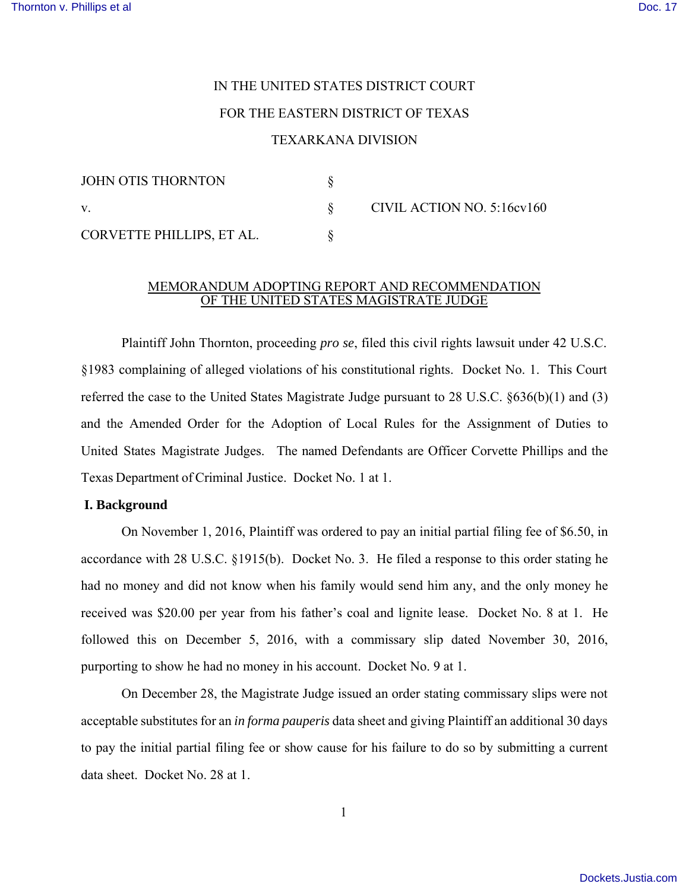# IN THE UNITED STATES DISTRICT COURT FOR THE EASTERN DISTRICT OF TEXAS

## TEXARKANA DIVISION

| JOHN OTIS THORNTON        |  | CIVIL ACTION NO. 5:16cv160 |
|---------------------------|--|----------------------------|
|                           |  |                            |
| CORVETTE PHILLIPS, ET AL. |  |                            |

## MEMORANDUM ADOPTING REPORT AND RECOMMENDATION OF THE UNITED STATES MAGISTRATE JUDGE

Plaintiff John Thornton, proceeding *pro se*, filed this civil rights lawsuit under 42 U.S.C. §1983 complaining of alleged violations of his constitutional rights. Docket No. 1. This Court referred the case to the United States Magistrate Judge pursuant to 28 U.S.C. §636(b)(1) and (3) and the Amended Order for the Adoption of Local Rules for the Assignment of Duties to United States Magistrate Judges. The named Defendants are Officer Corvette Phillips and the Texas Department of Criminal Justice. Docket No. 1 at 1.

## **I. Background**

On November 1, 2016, Plaintiff was ordered to pay an initial partial filing fee of \$6.50, in accordance with 28 U.S.C. §1915(b). Docket No. 3. He filed a response to this order stating he had no money and did not know when his family would send him any, and the only money he received was \$20.00 per year from his father's coal and lignite lease. Docket No. 8 at 1. He followed this on December 5, 2016, with a commissary slip dated November 30, 2016, purporting to show he had no money in his account. Docket No. 9 at 1.

On December 28, the Magistrate Judge issued an order stating commissary slips were not acceptable substitutes for an *in forma pauperis* data sheet and giving Plaintiff an additional 30 days to pay the initial partial filing fee or show cause for his failure to do so by submitting a current data sheet. Docket No. 28 at 1.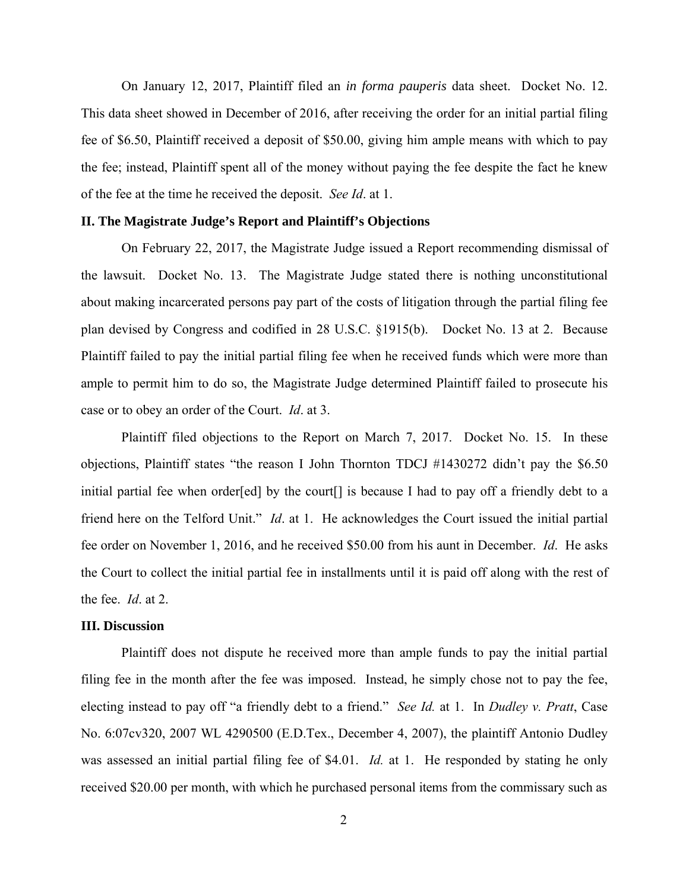On January 12, 2017, Plaintiff filed an *in forma pauperis* data sheet. Docket No. 12. This data sheet showed in December of 2016, after receiving the order for an initial partial filing fee of \$6.50, Plaintiff received a deposit of \$50.00, giving him ample means with which to pay the fee; instead, Plaintiff spent all of the money without paying the fee despite the fact he knew of the fee at the time he received the deposit. *See Id*. at 1.

#### **II. The Magistrate Judge's Report and Plaintiff's Objections**

On February 22, 2017, the Magistrate Judge issued a Report recommending dismissal of the lawsuit. Docket No. 13. The Magistrate Judge stated there is nothing unconstitutional about making incarcerated persons pay part of the costs of litigation through the partial filing fee plan devised by Congress and codified in 28 U.S.C. §1915(b). Docket No. 13 at 2. Because Plaintiff failed to pay the initial partial filing fee when he received funds which were more than ample to permit him to do so, the Magistrate Judge determined Plaintiff failed to prosecute his case or to obey an order of the Court. *Id*. at 3.

Plaintiff filed objections to the Report on March 7, 2017. Docket No. 15. In these objections, Plaintiff states "the reason I John Thornton TDCJ #1430272 didn't pay the \$6.50 initial partial fee when order[ed] by the court<sup>[]</sup> is because I had to pay off a friendly debt to a friend here on the Telford Unit." *Id*. at 1. He acknowledges the Court issued the initial partial fee order on November 1, 2016, and he received \$50.00 from his aunt in December. *Id*. He asks the Court to collect the initial partial fee in installments until it is paid off along with the rest of the fee. *Id*. at 2.

#### **III. Discussion**

Plaintiff does not dispute he received more than ample funds to pay the initial partial filing fee in the month after the fee was imposed. Instead, he simply chose not to pay the fee, electing instead to pay off "a friendly debt to a friend." *See Id.* at 1. In *Dudley v. Pratt*, Case No. 6:07cv320, 2007 WL 4290500 (E.D.Tex., December 4, 2007), the plaintiff Antonio Dudley was assessed an initial partial filing fee of \$4.01. *Id.* at 1. He responded by stating he only received \$20.00 per month, with which he purchased personal items from the commissary such as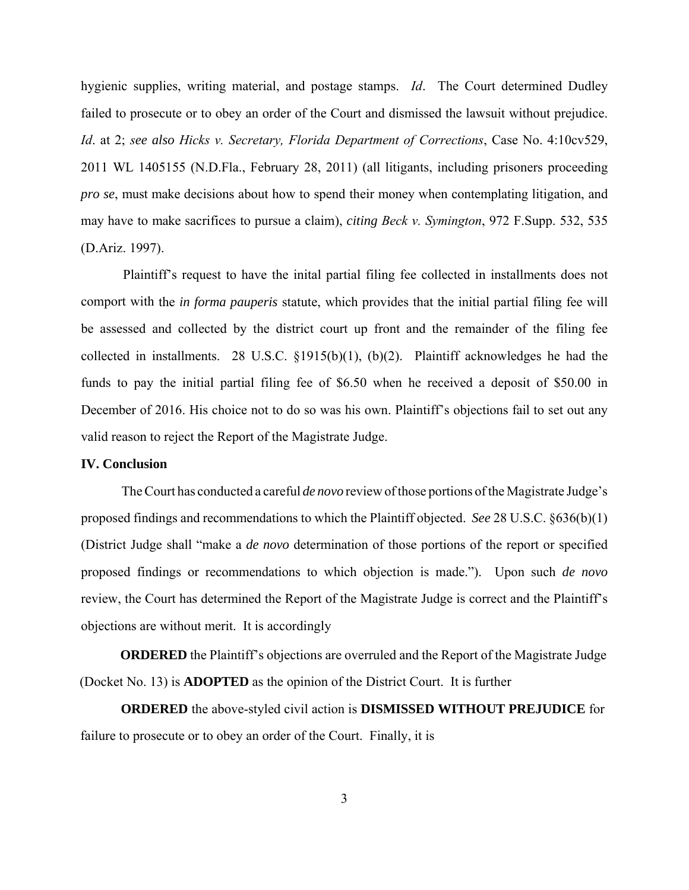hygienic supplies, writing material, and postage stamps. *Id*. The Court determined Dudley failed to prosecute or to obey an order of the Court and dismissed the lawsuit without prejudice. *Id*. at 2; *see also Hicks v. Secretary, Florida Department of Corrections*, Case No. 4:10cv529, 2011 WL 1405155 (N.D.Fla., February 28, 2011) (all litigants, including prisoners proceeding *pro se*, must make decisions about how to spend their money when contemplating litigation, and may have to make sacrifices to pursue a claim), *citing Beck v. Symington*, 972 F.Supp. 532, 535 (D.Ariz. 1997).

Plaintiff's request to have the inital partial filing fee collected in installments does not comport with the *in forma pauperis* statute, which provides that the initial partial filing fee will be assessed and collected by the district court up front and the remainder of the filing fee collected in installments. 28 U.S.C. §1915(b)(1), (b)(2). Plaintiff acknowledges he had the funds to pay the initial partial filing fee of \$6.50 when he received a deposit of \$50.00 in December of 2016. His choice not to do so was his own. Plaintiff's objections fail to set out any valid reason to reject the Report of the Magistrate Judge.

## **IV. Conclusion**

The Court has conducted a careful *de novo* review of those portions of the Magistrate Judge's proposed findings and recommendations to which the Plaintiff objected. *See* 28 U.S.C. §636(b)(1) (District Judge shall "make a *de novo* determination of those portions of the report or specified proposed findings or recommendations to which objection is made."). Upon such *de novo*  review, the Court has determined the Report of the Magistrate Judge is correct and the Plaintiff's objections are without merit. It is accordingly

**ORDERED** the Plaintiff's objections are overruled and the Report of the Magistrate Judge (Docket No. 13) is **ADOPTED** as the opinion of the District Court. It is further

**ORDERED** the above-styled civil action is **DISMISSED WITHOUT PREJUDICE** for failure to prosecute or to obey an order of the Court. Finally, it is